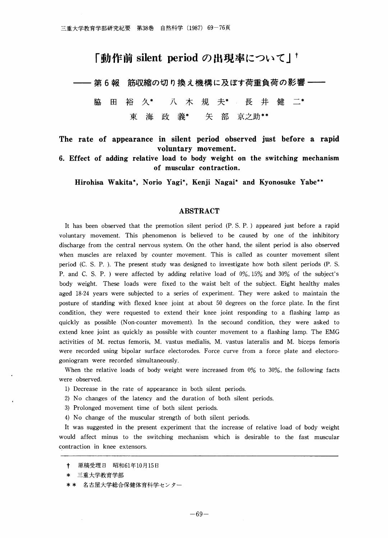# 「動作前silent periodの出現率について」†

第6報 筋収縮の切り換え機構に及ぼす荷重負荷の影響 一

脇  $H$ 裕 久\* 八木 規 天\* 長 开 健 \_ 義\* 矢 部 京之助\*\* 東 海 政

The rate of appearance in silent period observed just before a rapid VOluntary movement.

6.Effect of adding relativeload to body weight on the switching mechanism of muscular contraction.

Hirohisa Wakita\*, Norio Yagi\*, Kenji Nagai\* and Kyonosuke Yabe\*\*

### ABSTRACT

It has been observed that the premotion silent period (P.S.P.) appeared just before a rapid voluntary movement. This phenomenon is believed to be caused by one of the inhibitory discharge from the central nervous system. On the other hand, the silent period is also observed when muscles are relaxed by counter movement. This is called as counter movement silent period (C. S. P. ). The present study was designed to investigate how both silent periods (P. S. P. and C.S.P.) were affected by adding relative load of 0%, 15% and 30% of the subject's body weight. These loads were fixed to the waist belt of the subject. Eight healthy males aged 18-24 years were subjected to a series of experiment. They were asked to maintain the posture of standing with flexed knee joint at about 50 degrees on the force plate. In the first condition, they were requested to extend their knee joint responding to a flashing lamp as quickly as possible (Non-counter movement). In the secound condition, they were asked to extend knee joint as quickly as possible with counter movement to a flashing lamp. The EMG activities of M. rectus femoris, M. vastus medialis, M. vastus lateralis and M. biceps femoris were recorded using bipolar surface electorodes. Force curve from a force plate and electorogoniogram were recorded simultaneously.

When the relative loads of body weight were increased from  $0\%$  to  $30\%$ , the following facts were observed.

- 1) Decrease in the rate of appearance in both silent periods.
- 2) No changes of the latency and the duration of both silent periods.
- 3) Prolonged movement time of both silent periods.
- 4)No change of the muscular strength of both silent periods.

It was suggested in the present experiment that the increase of relative load of body weight would affect minus to the switching mechanism which is desirable to the fast muscular contraction in knee extensors.

- † 原稿受理日 昭和61年10月15日
- \* 三重大学教育学部
- \*\* 名古屋大学総合保健体育科学センター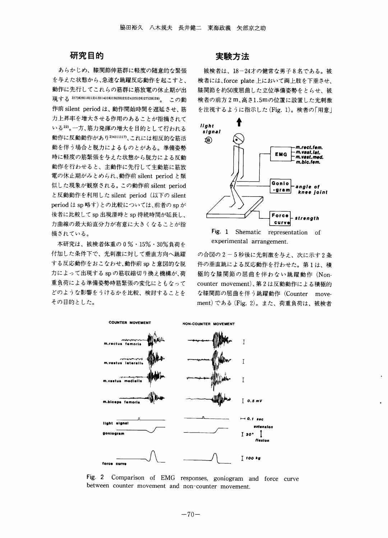# 研究目的

あらかじめ、膝関節伸筋群に軽度の随意的な緊張 を与えた状態から、急速な跳躍反応動作を起こすと、 動作に先行してこれらの筋群に筋放電の休止期が出 現する3)7)8)9)10)12)13)14)18)19)20)23)24)25)26)27)28)29)。この動 作前silent periodは、動作開始時間を遅延させ、筋 力上昇率を増大させる作用のあることが指摘されて いる22)。一方、筋力発揮の増大を目的として行われる 動作に反動動作があり2)4)11)17)、これには相反的な筋活 動を伴う場合と脱力によるものとがある。準備姿勢 時に軽度の筋緊張を与えた状態から脱力による反動 動作を行わせると、主動作に先行して主動筋に筋放 電の休止期がみとめられ、動作前silent periodと類 似した現象が観察される。この動作前silent period と反動動作を利用した silent period (以下の silent period は sp 略す)との比較については、前者の sp が 後者に比較してsp出現潜時とsp持続時間が延長し、 力曲線の最大鉛直分力が有意に大きくなることが指 摘されている。

本研究は、被検老体重の0%・15%・30%負荷を 付加した条件下で、光刺激に対して垂直方向へ跳躍 する反応動作をおこなわせ、動作前spと意図的な脱 力によって出現するspの筋収縮切り換え機構が、荷 重負荷による準備姿勢時筋緊張の変化にともなって どのような影響をうけるかを比較、検討することを その目的とした。

# 実験方法

被検者は、18-24オの健常な男子8名である。被 検者には、force plate 上において両上肢を下垂させ、 膝関節を約50度屈曲した立位準備姿勢をとらせ、被 検者の前方2m、高さ1.5mの位置に設置した光刺激 を注視するように指示した(Fig.1)。検者の「用意」





の合図の2-5秒後に光刺激を与え、次に示す2条 件の垂直跳による反応動作を行わせた。第1は、積 極的な膝関節の屈曲を伴わない跳躍動作(Non-COunter mOVement)、第2は反動動作による積極的 な膝関節の屈曲を伴う跳躍動作(Counter movement)である(Fig.2)。また、荷重負荷は、被検者



Fig. 2 Comparison of EMG responses, goniogram and force curve between counter movement and non-counter movement.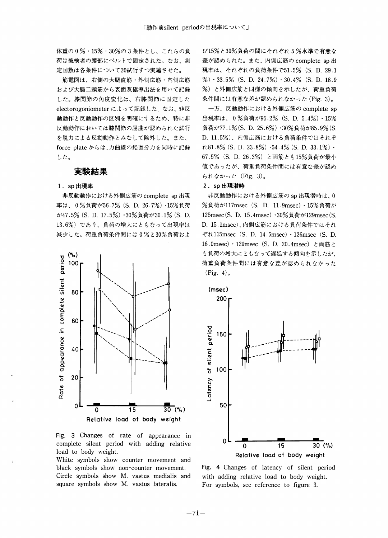体重の0%・15%・30%の3条件とし、これらの負 荷は被検者の腰部にべルトで固定された。なお、測 定回数は各条件について20試行ずつ実施させた。

筋電図は、右側の大腿直筋・外側広筋・内側広筋 および大腿二頭筋から表面双極導出法を用いて記録 した。膝関節の角度変化は、右膝関節に国定した electorogoniometerによって記録した。なお、非反 動動作と反動動作の区別を明確にするため、特に非 反動動作においては膝関節の屈曲が認められた試行 を脱力による反動動作とみなして除外した。また、 force plateからは、力曲線の鉛直分力を同時に記録 した。

# 実験結果

#### 1.sp出現率

非反動動作における外側広筋の complete sp出現 率は、0%負荷が56.7%(S.D.26.7%)・15%負荷 が47.5%(S.D.17.5%)・30%負荷が30.1%(S.D. 13.6%)であり、負荷の増大にともなって出現率は 減少した。荷重負荷条件間には0%と30%負荷およ



Fig. 3 Changes of rate of appearance in complete silent period with adding relative load to body weight.

White symbols show counter movement and black symbols show non-counter movement. Circle symbols show M. vastus medialis and square symbols show M. vastus lateralis.

び15%と30%負荷の間にそれぞれ5%水準で有意な 差が認められた。また、内側広筋の complete sp 出 現率は、それぞれの負荷条件で51.5%(S.D.29.1 %)・33.5%(S.D.24.7%)・30.4%(S.D.18.9 %)と外側広筋と同様の傾向を示したが、荷重負荷 条件間には有意な差が認められなかった(Fig.3)。

一方、反動動作における外側広筋の complete sp 出現率は、0%負荷が95.2%(S.D.5.4%)・15% 負荷が77.1%(S.D.25.6%)・30%負荷が85.9%(S. D.11.5%)、内側広筋における負荷条件ではそれぞ  $\textit{t}81.8\%$  (S. D. 23.8%)  $\cdot$ 54.4% (S. D. 33.1%)  $\cdot$ 67.5%(S.D.26.3%)と両筋とも15%負荷が最小 値であったが、荷重負荷条件間には有意な差が認め られなかった(Fig.3)。

#### 2.sp出現潜時

非反動動作における外側広筋の sp 出現潜時は、0 %負荷が117msec (S. D. 11.9msec) · 15%負荷が 125msec(S. D. 15.4msec) · 30%負荷が129msec(S. D.15.1msec)、内側広筋における負荷条件ではそれ ぞれ115msec(S.D.14.5msec)・126msec(S.D. 16.0msec) · 129msec (S. D. 20.4msec) と両筋と も負荷の増大にともなって遅延する傾向を示したが、 荷重負荷条件間には有意な差が認められなかった  $(Fig. 4)$ 。



Fig. 4 Changes of latency of silent period with adding relative load to body weight. For symbols, see reference to figure 3.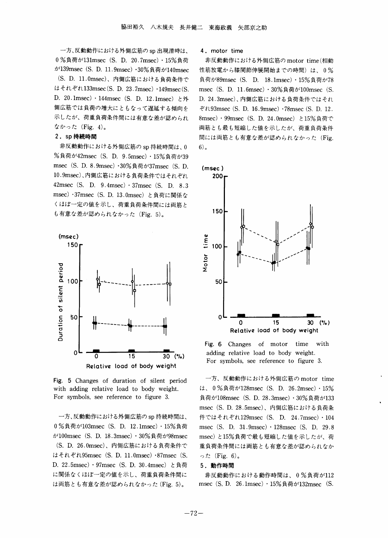一方、反動動作における外側広筋のsp出現潜時は、 0%負荷が131msec (S. D. 20.7msec) · 15%負荷 が139msec(S.D.11.9msec)・30%負荷が140msec (S・D.11・Omsec)、内側広筋における負荷条件で はそれぞれ133msec(S.D.23.7msec)・149msec(S. D. 20.1msec) · 144msec (S. D. 12.1msec) と外 側広筋では負荷の増大にともなって遅延する傾向を 示したが、荷重負荷条件間には有意な差が認められ なかった(Fig.4)。

#### 2.sp持続時間

非反動動作における外側広筋のsp持続時間は、0 %負荷が42msec (S. D. 9.5msec) · 15%負荷が39 msec (S. D. 8.9msec) · 30%負荷が37msec (S. D. 10.9msec)、内側広筋における負荷条件ではそれぞれ 42msec(S. D. 9.4msec)  $\cdot$  37msec(S. D. 8.3) msec)・37msec(S.D.13.Omsec)と負荷に関係な くほぼ一定の値を示し、荷重負荷条件間には両筋と も有意な差が認められなかった(Fig. 5)。



Fig. 5 Changes of duration of silent period with adding relative load to body weight. For symbols, see reference to figure 3.

一方、反動動作における外側広筋のSp持続時間は、 0%負荷が103msec(S.D.12.1msec)・15%負荷 が100msec(S.D.18.3msec)・30%負荷が98msec (S.D.26.Omsec)、内側広筋における負荷条件で はそれぞれ95msec(S.D.11.Omsec)・87msec(S.

D. 22.5msec) · 97msec (S. D. 30.4msec) と負荷 に関係なくほぼ一定の値を示し、荷重負荷条件間に は両筋とも有意な差が認められなかった(Fig.5)。

4.motor time

非反動動作における外側広筋のmotor time(相動 性筋放電から膝関節伸展開始までの時間)は、0% 負荷が89msec(S.D.18.1msec)・15%負荷が78 msec (S. D. 11.6msec) · 30%負荷が100msec (S. D.24.3msec)、内側広筋における負荷条件ではそれ ぞれ93msec(S.D.16.9msec)・78msec(S.D.12. 8msec) · 99msec (S. D. 24.0msec) と15%負荷で 両筋とも最も短縮した値を示したが、荷重負荷条件 間には両筋とも有意な差が認められなかった(Fig. 6)。



Fig.6 Changes of motor time with adding relative load to body weight. For symbols, see reference to figure 3.

一方、反動動作における外側広筋のmotor time は、0%負荷が128msec(S.D.26.2msec)・15% 負荷が108msec(S.D.28.3msec)・30%負荷が133 msec(S.D.28.5msec)、内側広筋における負荷条 件ではそれぞれ129msec (S. D. 24.7msec) · 104 msec(S. D. 31.9msec) · 128msec(S. D. 29.8) msec)と15%負荷で最も短縮した値を示したが、荷 重負荷条件間には両筋とも有意な差が認められなか った $(Fig. 6)$ 。

#### 5.動作時間

非反動動作における動作時間は、0%負荷が112 msec (S. D. 26.1msec) · 15%負荷が132msec (S.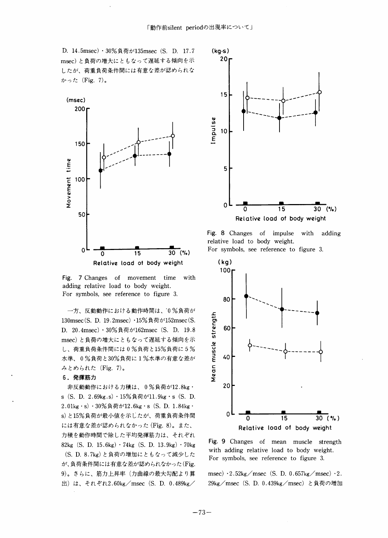D. 14.5msec) · 30%負荷が135msec(S. D. 17.7 (kg·s) msec)と負荷の増大にともなって遅延する傾向を示 したが、荷重負荷条件間には有意な差が認められな かった(Fig.7)。



Fig. 7 Changes of movement time with adding relative load to body weight. For symbols, see reference to figure 3.

一方、反動動作における動作時間は、10%負荷が 130msec(S. D. 19.2msec) · 15%負荷が152msec(S. D.20.4msec)・30%負荷が162msec(S.D.19.8 msec)と負荷の増大にともなって遅延する傾向を示 し、荷重負荷条件間には0%負荷と15%負荷に5% 水準、0%負荷と30%負荷に1%水準の有意な差が みとめられた(Fig.7)。

#### 6.発揮筋力

非反動動作における力積は、0%負荷が12.8kg・ s (S. D. 2.69kg.s) · 15%負荷が11.9kg · s (S. D. 2.01kg・S)・30%負荷が12.6kg・S(S.D.1.84kg・ s)と15%負荷が最小値を示したが、荷重負荷条件間 には有意な差が認められなかった(Fig.8)。また、 力積を動作時間で除した平均発揮筋力は、それぞれ 82kg(S.D.15.6kg)・74kg(S.D.13.9kg)・70kg (S.D.8.7kg)と負荷の増加にともなって減少した が、負荷条件間には有意な差が認められなかった(Fig. 9)。さらに、筋力上昇率(力曲線の最大勾配より算 出) は、それぞれ2.60kg/msec(S.D.0.489kg/



Fig. 8 Changes of impulse with adding relative load to body weight.

For symbols, see reference to figure 3.





msec)  $\cdot$  2.52kg/msec (S. D. 0.657kg/msec)  $\cdot$  2. 29kg/msec(S.D.0.439kg/msec)と負荷の増加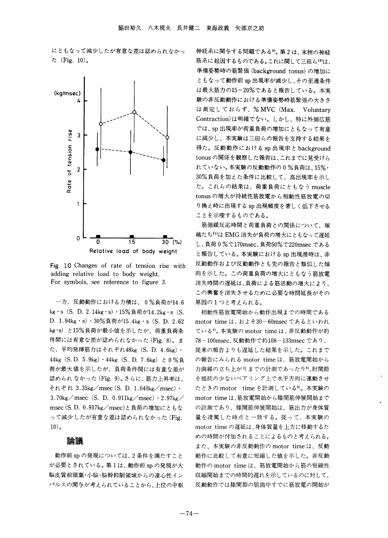にともなって減少したが有意な差は認められなかっ た(Fig.10)。



Fig.10Changes of rate of tension rise with adding relative load to body weight. For symbols, see reference to figure 3.

一方、反動動作における力積は、0%負荷が14.6 kg · s (S. D. 2.14kg · s) · 15%負荷が14.2kg · s (S. D. 1.94kg・s)・30%負荷が15.4kg・s (S. D. 2.62 kg・S)と15%負荷が最小値を示したが、荷重負荷条 件間には有意な差が認められなかった(Fig.8)。ま た、平均発揮筋力はそれぞれ48kg(S.D.4.6kg)・ 44kg (S.D. 5.9kg) · 44kg (S.D. 7.6kg) と 0 %負 荷が最大値を示したが、負荷条件間には有意な差が 認められなかった(Fig.9)。さらに、筋力上昇率は、 それぞれ3.35kg/msec(S.D.1.040kg/msec)・  $3.70 \text{kg/msec}$  (S. D. 0.911kg/msec)  $\cdot$  2.97kg/ msec(S.D.0.917kg/msec)と負荷の増加にともな って減少したが有意な差は認められなかった(Fig.  $10)$ 。

#### 論議

動作前spの発現については、2条件を満たすこと が必要とされている。第1は、動作前spの発現が大 脳皮質前頭葉・小脳・脳幹抑制領域からの遠心性イン パルスの関与が考えられていることから、上位の中枢 神経系に関与する問題である9)。第2は、末梢の神経 筋系に起因するものである。これに関して三田ら18)は、 準備姿勢時の筋緊張(background tonus)の増加に ともなって動作前sp出現率が減少し、その至適条件 は最大筋力の15-20%であると報告している。本実 験の非反動動作における準備姿勢時筋緊張の大きさ は測定しておらず、% MVC (Max. Voluntary Contraction)は明確でない。しかし、特に外側広筋 では、Sp出現率が荷重負荷の増加にともなって有意 に減少し、本実験は三田らの報告を支持する結果を 得た。反動動作におけるsp出現率とbackground tonusの関係を観察した報告は、これまでに見受けら れていない。本実験の反動動作の0%負荷は、15%・ 30%負荷を加えた条件に比較して、高出現率を示し た。これらの結果は、荷重負荷にともなうmuscle tonus の増大が持続性筋放電から相動性筋放電の切 り換え時に出現するsp出現頻度を著しく低下させる ことを示唆するものである。

筋弛緩反応時間と荷重負荷との関係について、塚 越たち21)はEMG消失が負荷の増大にともなって遅延 し、負荷0%で170msec、負荷50%で220msecである と報告している。本実験におけるsp出現潜時は、非 反動動作および反動動作とも先の報告と類似した傾 向を示した。この荷重負荷の増大にともなう筋放電 消失時間の遅延は、負荷による筋活動の増大により、 この興奮を消失させるために必要な時間延長がその 原因の1つと考えられる。

相動性筋放電開始から動作出現までの時間である motor timeは、およそ30-60msecであるといわれ ている<sup>5</sup>。本実験の motor time は、非反動動作が約 78-100msec、反動動作で約108-133msecであり、 従来の報告よりも遅延した結果を示した。これまで の報告にみられる motor time は、筋放電開始から 力曲線の立ち上がりまでの計測であったり5)、肘関節 を抵抗の少ないベアリング上で水平方向に運動させ たときのmotor time を計測している<sup>6</sup>。本実験の motor timeは、筋放電開始から膝関筋伸展開始まで の計測であり、膝関節伸展開始は、筋出力が身体質 量を凌駕した時点と一致する。従って、本実験の motor timeの遅延は、身体質量を上方に移動するた めの時間が付加されることによるものと考えられる。 また、本実験の非反動動作の motor time は、反動 動作に比較して有意に短縮した値を示した。非反動 動作の motor time は、筋放電開始から筋の短縮性 収縮開始までの時間的遅れを示しているのに対して、 反動動作では膝関節の屈曲申すでに筋放電の開始が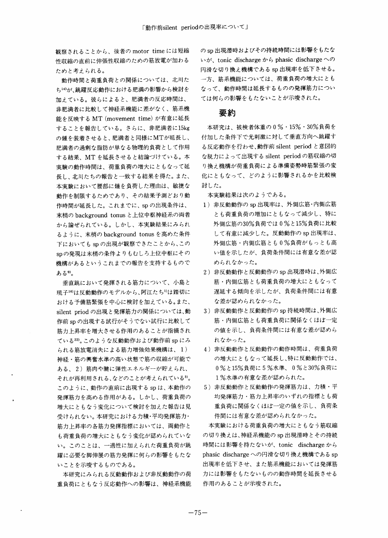観察されることから、後者のmotor timeには短縮 性収縮の直前に伸張性収縮のための筋放電が加わる ためと考えられる。

動作時間と荷重負荷との関係については、北川た ち14)が、跳躍反応動作における肥満の影響から検討を 加えている。彼らによると、肥満者の反応時間は、 非肥満者に比較して神経系機能に差がな〈、筋系機 能を反映するMT(movement time)が有意に延長 することを報告している。さらに、非肥満者に15kg の鍾を装着させると、肥満者と同様にMTが延長し、 肥満者の過剰な脂肪が単なる物理的負荷として作用 する結果、MTを延長させると結論づけている。本 実験の動作時間は、荷重負荷の増大にともなって延 長し、北川たちの報告と一致する結果を得た。また、 本実験において腰部に鐘を負荷した理由は、敏捷な 動作を制限するためであり、その結果予測どおり動 作時間が延長した。これまでに、Spの出現条件は、 末梢のbackground tonusと上位中枢神経系の両者 から論ぜられている。しかし、本実験結果にみられ るように、末梢のbackground tonusを高めた条件 下においても sp の出現が観察できたことから、この spの発現は末梢の条件よりもむしろ上位中枢にその 機構があるというこれまでの報告を支持するもので ある9)。

垂直跳において発揮される筋力について、小島と 琉子16)は反動動作のモデルから、阿江たち1)は踏切に おける予備筋緊張を中心に検討を加えている。また、 silent priodの出現と発揮筋力の関係については、動 作前spの出現する試行がそうでない試行に比較して 筋力上昇率を増大させる作用のあることが指摘され ている22)。このような反動動作および動作前spにみ られる筋放電消失による筋力増強効果機構は、1) 神経一筋の興奮水準の高い状態で筋の収縮が可能で ある、2)筋肉や腱に弾性エネルギーが貯えられ、 それが再利用される、などのことが考えられている3)。 このように、動作の直前に出現するspは、本動作の 発揮筋力を高める作用がある。しかし、荷重負荷の 増大にともなう変化について検討を加えた報告は見 受けられない。本研究における力積・平均発揮筋力・ 筋力上昇率の各筋力発揮指標においては、両動作と も荷重負荷の増大にともなう変化が認められていな い。このことは、一過性に加えられた荷重負荷が跳 躍に必要な脚伸展の筋力発揮に何らの影響をもたな いことを示唆するものである。

本研究にみられる反動動作および非反動動作の荷 重負荷にともなう反応動作への影響は、神経系機能 のsp出現潜時およびその持続時間には影響をもたな いが、tonic discharge から phasic dischargeへの 円滑な切り換え機構であるsp出現率を低下させる。 一方、筋系機能については、荷重負荷の増大にとも なって、動作時間は延長するものの発揮筋力につい ては何らの影響をもたないことが示唆された。

## 要約

本研究は、被検老体重の0%・15%・30%負荷を 付加した条件下で光刺激に対して垂直方向へ跳躍す る反応動作を行わせ、動作前silent periodと意図的 な脱力によって出現するsilent periodの筋収縮の切 り換え機構が荷重負荷による準備姿勢時筋緊張の変 化にともなって、どのように影響されるかを比較検 討した。

本実験結果は次のようである。

- 1) 非反動動作の sp 出現率は、外側広筋・内側広筋 とも荷重負荷の増加にともなって減少し、特に 外側広筋の30%負荷では0%と15%負荷に比較 して有意に減少した。反動動作のSp出現率は、 外側広筋・内側広筋とも0%負荷がもっとも高 い値を示したが、負荷条件間には有意な差が認 められなかった。
- 2) 非反動動作と反動動作の sp 出現潜時は、外側広 筋・内側広筋とも荷重負荷の増大にともなって 遅延する傾向を示したが、負荷条件間には有意 な差が認められなかった。
- 3)非反動動作と反動動作のSp持続時間は、外側広 筋・内側広筋とも荷重負荷に関係なくほぼ一定 の値を示し、負荷条件間には有意な差が認めら れなかった。
- 4)非反動動作と反動動作の動作時間は、荷重負荷 の増大にともなって延長し、特に反動動作では、 0%と15%負荷に5%水準、0%と30%負荷に 1%水準の有意な差が認められた。
- 5)非反動動作と反動動作の発揮筋力は、力積・平 均発揮筋力・筋力上昇率のいずれの指標とも荷 重負荷に関係なくほぼ一定の値を示し、負荷条 件間には有意な差が認められなかった。

本実験における荷重負荷の増大にともなう筋収縮 の切り換えは、神経系機能のsp出現潜時とその持続 時間には影響を持たないが、tOnic dischargeから phasic dischargeへの円滑な切り換え機構であるsp 出現率を低下させ、また筋系機能においては発揮筋 力には影響をもたないものの動作時間を延長させる 作用のあることが示唆された。